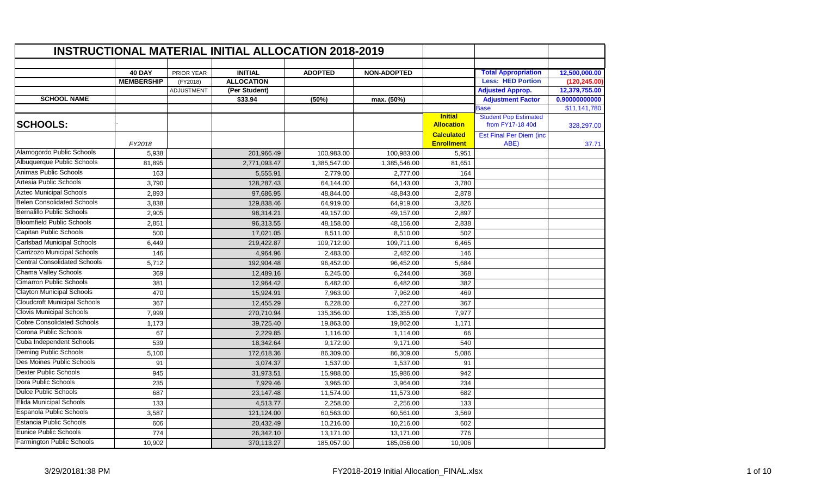|                                     |                   |                   | <b>INSTRUCTIONAL MATERIAL INITIAL ALLOCATION 2018-2019</b> |                |                    |                                        |                                                  |               |
|-------------------------------------|-------------------|-------------------|------------------------------------------------------------|----------------|--------------------|----------------------------------------|--------------------------------------------------|---------------|
|                                     | <b>40 DAY</b>     | PRIOR YEAR        | <b>INITIAL</b>                                             | <b>ADOPTED</b> | <b>NON-ADOPTED</b> |                                        | <b>Total Appropriation</b>                       | 12,500,000.00 |
|                                     | <b>MEMBERSHIP</b> | (FY2018)          | <b>ALLOCATION</b>                                          |                |                    |                                        | <b>Less: HED Portion</b>                         | (120, 245.00) |
|                                     |                   | <b>ADJUSTMENT</b> | (Per Student)                                              |                |                    |                                        | <b>Adjusted Approp.</b>                          | 12,379,755.00 |
| <b>SCHOOL NAME</b>                  |                   |                   | \$33.94                                                    | (50%)          | max. (50%)         |                                        | <b>Adjustment Factor</b>                         | 0.90000000000 |
|                                     |                   |                   |                                                            |                |                    |                                        | Base                                             | \$11,141,780  |
| <b>SCHOOLS:</b>                     |                   |                   |                                                            |                |                    | <b>Initial</b><br><b>Allocation</b>    | <b>Student Pop Estimated</b><br>from FY17-18 40d | 328,297.00    |
|                                     | FY2018            |                   |                                                            |                |                    | <b>Calculated</b><br><b>Enrollment</b> | Est Final Per Diem (inc<br>ABE)                  | 37.71         |
| Alamogordo Public Schools           | 5,938             |                   | 201,966.49                                                 | 100,983.00     | 100.983.00         | 5,951                                  |                                                  |               |
| Albuquerque Public Schools          | 81,895            |                   | 2,771,093.47                                               | 1,385,547.00   | 1,385,546.00       | 81,651                                 |                                                  |               |
| Animas Public Schools               | 163               |                   | 5,555.91                                                   | 2,779.00       | 2,777.00           | 164                                    |                                                  |               |
| Artesia Public Schools              | 3,790             |                   | 128,287.43                                                 | 64,144.00      | 64,143.00          | 3,780                                  |                                                  |               |
| <b>Aztec Municipal Schools</b>      | 2,893             |                   | 97,686.95                                                  | 48,844.00      | 48,843.00          | 2,878                                  |                                                  |               |
| <b>Belen Consolidated Schools</b>   | 3,838             |                   | 129,838.46                                                 | 64,919.00      | 64,919.00          | 3,826                                  |                                                  |               |
| <b>Bernalillo Public Schools</b>    | 2,905             |                   | 98,314.21                                                  | 49,157.00      | 49,157.00          | 2,897                                  |                                                  |               |
| <b>Bloomfield Public Schools</b>    | 2,851             |                   | 96,313.55                                                  | 48,158.00      | 48,156.00          | 2,838                                  |                                                  |               |
| Capitan Public Schools              | 500               |                   | 17,021.05                                                  | 8,511.00       | 8,510.00           | 502                                    |                                                  |               |
| <b>Carlsbad Municipal Schools</b>   | 6,449             |                   | 219,422.87                                                 | 109,712.00     | 109,711.00         | 6,465                                  |                                                  |               |
| Carrizozo Municipal Schools         | 146               |                   | 4,964.96                                                   | 2,483.00       | 2,482.00           | 146                                    |                                                  |               |
| <b>Central Consolidated Schools</b> | 5,712             |                   | 192,904.48                                                 | 96,452.00      | 96,452.00          | 5,684                                  |                                                  |               |
| Chama Valley Schools                | 369               |                   | 12,489.16                                                  | 6,245.00       | 6,244.00           | 368                                    |                                                  |               |
| <b>Cimarron Public Schools</b>      | 381               |                   | 12,964.42                                                  | 6,482.00       | 6,482.00           | 382                                    |                                                  |               |
| <b>Clayton Municipal Schools</b>    | 470               |                   | 15,924.91                                                  | 7,963.00       | 7,962.00           | 469                                    |                                                  |               |
| <b>Cloudcroft Municipal Schools</b> | 367               |                   | 12,455.29                                                  | 6,228.00       | 6,227.00           | 367                                    |                                                  |               |
| <b>Clovis Municipal Schools</b>     | 7,999             |                   | 270,710.94                                                 | 135,356.00     | 135,355.00         | 7,977                                  |                                                  |               |
| <b>Cobre Consolidated Schools</b>   | 1,173             |                   | 39,725.40                                                  | 19,863.00      | 19,862.00          | 1,171                                  |                                                  |               |
| Corona Public Schools               | 67                |                   | 2,229.85                                                   | 1,116.00       | 1,114.00           | 66                                     |                                                  |               |
| Cuba Independent Schools            | 539               |                   | 18,342.64                                                  | 9,172.00       | 9,171.00           | 540                                    |                                                  |               |
| <b>Deming Public Schools</b>        | 5,100             |                   | 172,618.36                                                 | 86,309.00      | 86,309.00          | 5,086                                  |                                                  |               |
| Des Moines Public Schools           | 91                |                   | 3,074.37                                                   | 1,537.00       | 1,537.00           | 91                                     |                                                  |               |
| <b>Dexter Public Schools</b>        | 945               |                   | 31,973.51                                                  | 15,988.00      | 15,986.00          | 942                                    |                                                  |               |
| Dora Public Schools                 | 235               |                   | 7,929.46                                                   | 3,965.00       | 3,964.00           | 234                                    |                                                  |               |
| <b>Dulce Public Schools</b>         | 687               |                   | 23,147.48                                                  | 11,574.00      | 11,573.00          | 682                                    |                                                  |               |
| <b>Elida Municipal Schools</b>      | 133               |                   | 4,513.77                                                   | 2,258.00       | 2,256.00           | 133                                    |                                                  |               |
| <b>Espanola Public Schools</b>      | 3,587             |                   | 121,124.00                                                 | 60,563.00      | 60,561.00          | 3,569                                  |                                                  |               |
| Estancia Public Schools             | 606               |                   | 20,432.49                                                  | 10,216.00      | 10,216.00          | 602                                    |                                                  |               |
| Eunice Public Schools               | $\frac{1}{774}$   |                   | 26,342.10                                                  | 13,171.00      | 13,171.00          | 776                                    |                                                  |               |
| Farmington Public Schools           | 10,902            |                   | 370,113.27                                                 | 185,057.00     | 185,056.00         | 10,906                                 |                                                  |               |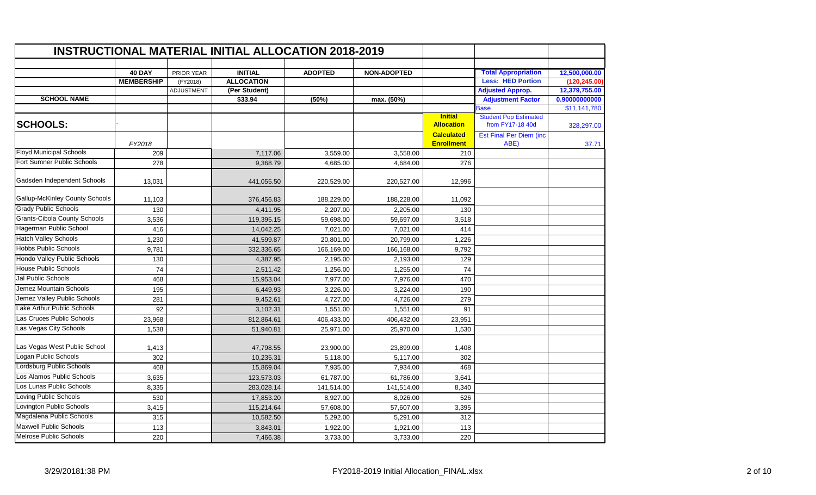|                                       |                   |                   | <b>INSTRUCTIONAL MATERIAL INITIAL ALLOCATION 2018-2019</b> |                |                    |                                        |                                                  |               |
|---------------------------------------|-------------------|-------------------|------------------------------------------------------------|----------------|--------------------|----------------------------------------|--------------------------------------------------|---------------|
|                                       | <b>40 DAY</b>     | PRIOR YEAR        | <b>INITIAL</b>                                             | <b>ADOPTED</b> | <b>NON-ADOPTED</b> |                                        | <b>Total Appropriation</b>                       | 12,500,000.00 |
|                                       | <b>MEMBERSHIP</b> | (FY2018)          | <b>ALLOCATION</b>                                          |                |                    |                                        | <b>Less: HED Portion</b>                         | (120, 245.00) |
|                                       |                   | <b>ADJUSTMENT</b> | (Per Student)                                              |                |                    |                                        | <b>Adjusted Approp.</b>                          | 12,379,755.00 |
| <b>SCHOOL NAME</b>                    |                   |                   | \$33.94                                                    | (50%)          | max. (50%)         |                                        | <b>Adjustment Factor</b>                         | 0.90000000000 |
|                                       |                   |                   |                                                            |                |                    |                                        | <b>Base</b>                                      | \$11,141,780  |
| <b>SCHOOLS:</b>                       |                   |                   |                                                            |                |                    | <b>Initial</b><br><b>Allocation</b>    | <b>Student Pop Estimated</b><br>from FY17-18 40d | 328,297.00    |
|                                       | FY2018            |                   |                                                            |                |                    | <b>Calculated</b><br><b>Enrollment</b> | <b>Est Final Per Diem (inc.</b><br>ABE)          | 37.71         |
| <b>Floyd Municipal Schools</b>        | 209               |                   | 7,117.06                                                   | 3,559.00       | 3,558.00           | 210                                    |                                                  |               |
| Fort Sumner Public Schools            | 278               |                   | 9,368.79                                                   | 4,685.00       | 4,684.00           | 276                                    |                                                  |               |
| Gadsden Independent Schools           | 13,031            |                   | 441,055.50                                                 | 220,529.00     | 220,527.00         | 12,996                                 |                                                  |               |
| <b>Gallup-McKinley County Schools</b> | 11,103            |                   | 376,456.83                                                 | 188,229.00     | 188,228.00         | 11,092                                 |                                                  |               |
| <b>Grady Public Schools</b>           | 130               |                   | 4,411.95                                                   | 2,207.00       | 2,205.00           | 130                                    |                                                  |               |
| <b>Grants-Cibola County Schools</b>   | 3,536             |                   | 119,395.15                                                 | 59,698.00      | 59,697.00          | 3,518                                  |                                                  |               |
| Hagerman Public School                | 416               |                   | 14,042.25                                                  | 7,021.00       | 7,021.00           | 414                                    |                                                  |               |
| <b>Hatch Valley Schools</b>           | 1,230             |                   | 41,599.87                                                  | 20,801.00      | 20,799.00          | 1,226                                  |                                                  |               |
| <b>Hobbs Public Schools</b>           | 9,781             |                   | 332,336.65                                                 | 166,169.00     | 166,168.00         | 9,792                                  |                                                  |               |
| Hondo Valley Public Schools           | 130               |                   | 4,387.95                                                   | 2,195.00       | 2,193.00           | 129                                    |                                                  |               |
| <b>House Public Schools</b>           | 74                |                   | 2,511.42                                                   | 1,256.00       | 1,255.00           | 74                                     |                                                  |               |
| Jal Public Schools                    | 468               |                   | 15,953.04                                                  | 7,977.00       | 7,976.00           | 470                                    |                                                  |               |
| Jemez Mountain Schools                | 195               |                   | 6,449.93                                                   | 3,226.00       | 3,224.00           | 190                                    |                                                  |               |
| Jemez Valley Public Schools           | 281               |                   | 9,452.61                                                   | 4,727.00       | 4,726.00           | 279                                    |                                                  |               |
| Lake Arthur Public Schools            | 92                |                   | 3,102.31                                                   | 1,551.00       | 1,551.00           | 91                                     |                                                  |               |
| Las Cruces Public Schools             | 23,968            |                   | 812,864.61                                                 | 406,433.00     | 406,432.00         | 23,951                                 |                                                  |               |
| Las Vegas City Schools                | 1,538             |                   | 51,940.81                                                  | 25,971.00      | 25,970.00          | 1,530                                  |                                                  |               |
| Las Vegas West Public School          | 1,413             |                   | 47,798.55                                                  | 23,900.00      | 23,899.00          | 1,408                                  |                                                  |               |
| Logan Public Schools                  | 302               |                   | 10,235.31                                                  | 5,118.00       | 5,117.00           | 302                                    |                                                  |               |
| Lordsburg Public Schools              | 468               |                   | 15.869.04                                                  | 7,935.00       | 7,934.00           | 468                                    |                                                  |               |
| Los Alamos Public Schools             | 3,635             |                   | 123,573.03                                                 | 61,787.00      | 61,786.00          | 3,641                                  |                                                  |               |
| Los Lunas Public Schools              | 8,335             |                   | 283,028.14                                                 | 141,514.00     | 141,514.00         | 8,340                                  |                                                  |               |
| Loving Public Schools                 | 530               |                   | 17,853.20                                                  | 8,927.00       | 8,926.00           | 526                                    |                                                  |               |
| Lovington Public Schools              | 3,415             |                   | 115,214.64                                                 | 57,608.00      | 57,607.00          | 3,395                                  |                                                  |               |
| Magdalena Public Schools              | 315               |                   | 10,582.50                                                  | 5,292.00       | 5,291.00           | 312                                    |                                                  |               |
| <b>Maxwell Public Schools</b>         | 113               |                   | 3,843.01                                                   | 1,922.00       | 1,921.00           | 113                                    |                                                  |               |
| <b>Melrose Public Schools</b>         | 220               |                   | 7,466.38                                                   | 3,733.00       | 3,733.00           | 220                                    |                                                  |               |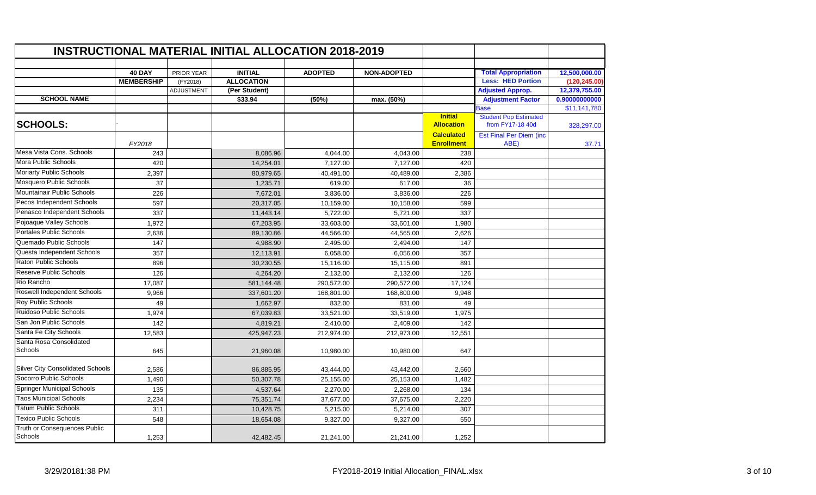|                                         |                   |                   | <b>INSTRUCTIONAL MATERIAL INITIAL ALLOCATION 2018-2019</b> |                |                    |                                        |                                                  |               |
|-----------------------------------------|-------------------|-------------------|------------------------------------------------------------|----------------|--------------------|----------------------------------------|--------------------------------------------------|---------------|
|                                         | <b>40 DAY</b>     | PRIOR YEAR        | <b>INITIAL</b>                                             | <b>ADOPTED</b> | <b>NON-ADOPTED</b> |                                        | <b>Total Appropriation</b>                       | 12,500,000.00 |
|                                         | <b>MEMBERSHIP</b> | (FY2018)          | <b>ALLOCATION</b>                                          |                |                    |                                        | <b>Less: HED Portion</b>                         | (120, 245.00) |
|                                         |                   | <b>ADJUSTMENT</b> | (Per Student)                                              |                |                    |                                        | <b>Adjusted Approp.</b>                          | 12,379,755.00 |
| <b>SCHOOL NAME</b>                      |                   |                   | \$33.94                                                    | (50%)          | max. (50%)         |                                        | <b>Adjustment Factor</b>                         | 0.90000000000 |
|                                         |                   |                   |                                                            |                |                    |                                        | Base                                             | \$11,141,780  |
| <b>SCHOOLS:</b>                         |                   |                   |                                                            |                |                    | <b>Initial</b><br><b>Allocation</b>    | <b>Student Pop Estimated</b><br>from FY17-18 40d | 328,297.00    |
|                                         | FY2018            |                   |                                                            |                |                    | <b>Calculated</b><br><b>Enrollment</b> | <b>Est Final Per Diem (inc</b><br>ABE)           | 37.71         |
| Mesa Vista Cons, Schools                | 243               |                   | 8,086.96                                                   | 4,044.00       | 4,043.00           | 238                                    |                                                  |               |
| Mora Public Schools                     | 420               |                   | 14,254.01                                                  | 7,127.00       | 7,127.00           | 420                                    |                                                  |               |
| Moriarty Public Schools                 | 2,397             |                   | 80,979.65                                                  | 40,491.00      | 40,489.00          | 2,386                                  |                                                  |               |
| Mosquero Public Schools                 | 37                |                   | 1,235.71                                                   | 619.00         | 617.00             | 36                                     |                                                  |               |
| Mountainair Public Schools              | 226               |                   | 7,672.01                                                   | 3,836.00       | 3,836.00           | 226                                    |                                                  |               |
| Pecos Independent Schools               | 597               |                   | 20,317.05                                                  | 10,159.00      | 10,158.00          | 599                                    |                                                  |               |
| Penasco Independent Schools             | 337               |                   | 11,443.14                                                  | 5,722.00       | 5,721.00           | 337                                    |                                                  |               |
| Pojoaque Valley Schools                 | 1,972             |                   | 67,203.95                                                  | 33,603.00      | 33,601.00          | 1,980                                  |                                                  |               |
| <b>Portales Public Schools</b>          | 2,636             |                   | 89,130.86                                                  | 44,566.00      | 44,565.00          | 2,626                                  |                                                  |               |
| Quemado Public Schools                  | 147               |                   | 4,988.90                                                   | 2,495.00       | 2,494.00           | 147                                    |                                                  |               |
| Questa Independent Schools              | 357               |                   | 12,113.91                                                  | 6,058.00       | 6,056.00           | 357                                    |                                                  |               |
| Raton Public Schools                    | 896               |                   | 30,230.55                                                  | 15,116.00      | 15,115.00          | 891                                    |                                                  |               |
| <b>Reserve Public Schools</b>           | 126               |                   | 4,264.20                                                   | 2,132.00       | 2,132.00           | 126                                    |                                                  |               |
| Rio Rancho                              | 17,087            |                   | 581,144.48                                                 | 290,572.00     | 290,572.00         | 17,124                                 |                                                  |               |
| Roswell Independent Schools             | 9,966             |                   | 337,601.20                                                 | 168,801.00     | 168,800.00         | 9,948                                  |                                                  |               |
| Roy Public Schools                      | 49                |                   | 1,662.97                                                   | 832.00         | 831.00             | 49                                     |                                                  |               |
| Ruidoso Public Schools                  | 1,974             |                   | 67,039.83                                                  | 33,521.00      | 33,519.00          | 1,975                                  |                                                  |               |
| San Jon Public Schools                  | 142               |                   | 4,819.21                                                   | 2,410.00       | 2,409.00           | 142                                    |                                                  |               |
| Santa Fe City Schools                   | 12,583            |                   | 425,947.23                                                 | 212,974.00     | 212,973.00         | 12,551                                 |                                                  |               |
| Santa Rosa Consolidated<br>Schools      | 645               |                   | 21,960.08                                                  | 10,980.00      | 10,980.00          | 647                                    |                                                  |               |
| <b>Silver City Consolidated Schools</b> | 2,586             |                   | 86,885.95                                                  | 43,444.00      | 43,442.00          | 2,560                                  |                                                  |               |
| Socorro Public Schools                  | 1,490             |                   | 50,307.78                                                  | 25,155.00      | 25,153.00          | 1,482                                  |                                                  |               |
| <b>Springer Municipal Schools</b>       | 135               |                   | 4,537.64                                                   | 2,270.00       | 2,268.00           | 134                                    |                                                  |               |
| <b>Taos Municipal Schools</b>           | 2,234             |                   | 75,351.74                                                  | 37,677.00      | 37,675.00          | 2,220                                  |                                                  |               |
| <b>Tatum Public Schools</b>             | 311               |                   | 10,428.75                                                  | 5,215.00       | 5,214.00           | 307                                    |                                                  |               |
| <b>Texico Public Schools</b>            | 548               |                   | 18,654.08                                                  | 9,327.00       | 9,327.00           | 550                                    |                                                  |               |
| Truth or Consequences Public<br>Schools | 1,253             |                   | 42,482.45                                                  | 21,241.00      | 21,241.00          | 1,252                                  |                                                  |               |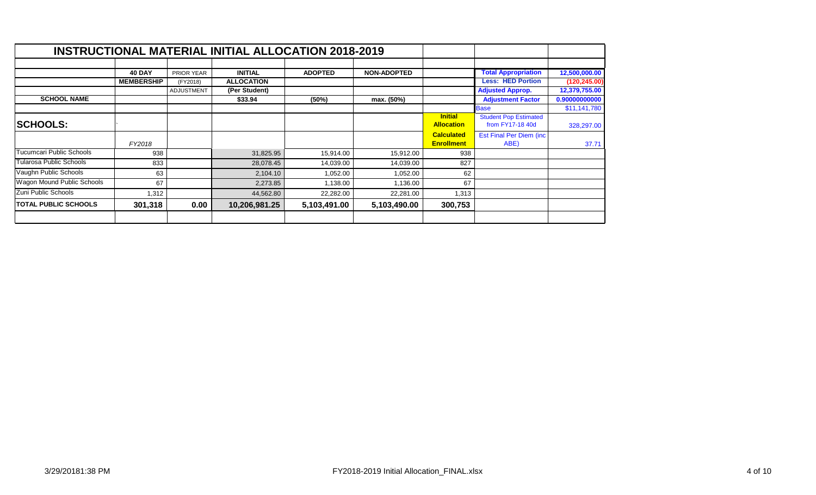|                             |                   |            | <b>INSTRUCTIONAL MATERIAL INITIAL ALLOCATION 2018-2019</b> |                |                    |                   |                                 |               |
|-----------------------------|-------------------|------------|------------------------------------------------------------|----------------|--------------------|-------------------|---------------------------------|---------------|
|                             |                   |            |                                                            |                |                    |                   |                                 |               |
|                             | <b>40 DAY</b>     | PRIOR YEAR | <b>INITIAL</b>                                             | <b>ADOPTED</b> | <b>NON-ADOPTED</b> |                   | <b>Total Appropriation</b>      | 12,500,000.00 |
|                             | <b>MEMBERSHIP</b> | (FY2018)   | <b>ALLOCATION</b>                                          |                |                    |                   | <b>Less: HED Portion</b>        | (120, 245.00) |
|                             |                   | ADJUSTMENT | (Per Student)                                              |                |                    |                   | <b>Adjusted Approp.</b>         | 12,379,755.00 |
| <b>SCHOOL NAME</b>          |                   |            | \$33.94                                                    | (50%)          | max. (50%)         |                   | <b>Adjustment Factor</b>        | 0.90000000000 |
|                             |                   |            |                                                            |                |                    |                   | <b>Base</b>                     | \$11,141,780  |
|                             |                   |            |                                                            |                |                    | <b>Initial</b>    | <b>Student Pop Estimated</b>    |               |
| <b>SCHOOLS:</b>             |                   |            |                                                            |                |                    | <b>Allocation</b> | from FY17-18 40d                | 328,297.00    |
|                             |                   |            |                                                            |                |                    | <b>Calculated</b> | <b>Est Final Per Diem (inc.</b> |               |
|                             | FY2018            |            |                                                            |                |                    | <b>Enrollment</b> | ABE)                            | 37.71         |
| Tucumcari Public Schools    | 938               |            | 31,825.95                                                  | 15,914.00      | 15,912.00          | 938               |                                 |               |
| Tularosa Public Schools     | 833               |            | 28,078.45                                                  | 14,039.00      | 14,039.00          | 827               |                                 |               |
| Vaughn Public Schools       | 63                |            | 2,104.10                                                   | 1,052.00       | 1,052.00           | 62                |                                 |               |
| Wagon Mound Public Schools  | 67                |            | 2,273.85                                                   | 1,138.00       | 1,136.00           | 67                |                                 |               |
| Zuni Public Schools         | 1,312             |            | 44,562.80                                                  | 22,282.00      | 22,281.00          | 1,313             |                                 |               |
| <b>TOTAL PUBLIC SCHOOLS</b> | 301,318           | 0.00       | 10,206,981.25                                              | 5,103,491.00   | 5,103,490.00       | 300,753           |                                 |               |
|                             |                   |            |                                                            |                |                    |                   |                                 |               |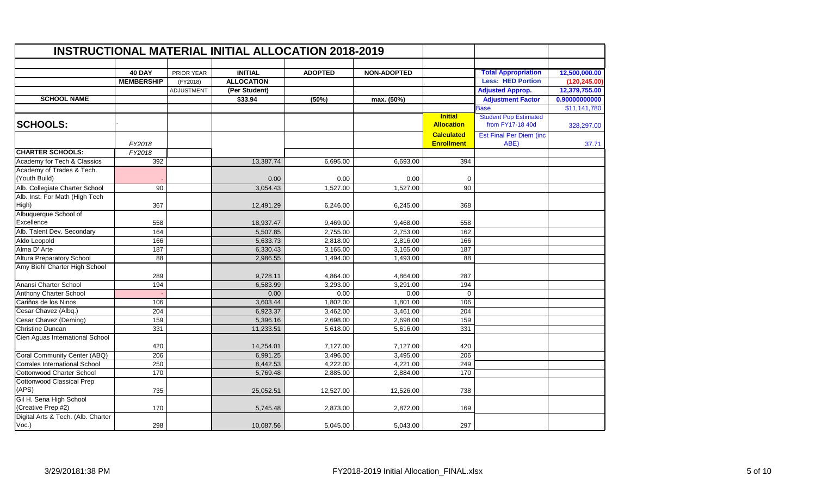|                                               |                   |                   | <b>INSTRUCTIONAL MATERIAL INITIAL ALLOCATION 2018-2019</b> |                |                    |                                        |                                                  |               |
|-----------------------------------------------|-------------------|-------------------|------------------------------------------------------------|----------------|--------------------|----------------------------------------|--------------------------------------------------|---------------|
|                                               | 40 DAY            | PRIOR YEAR        | <b>INITIAL</b>                                             | <b>ADOPTED</b> | <b>NON-ADOPTED</b> |                                        | <b>Total Appropriation</b>                       | 12,500,000.00 |
|                                               | <b>MEMBERSHIP</b> | (FY2018)          | <b>ALLOCATION</b>                                          |                |                    |                                        | <b>Less: HED Portion</b>                         | (120, 245.00) |
|                                               |                   | <b>ADJUSTMENT</b> | (Per Student)                                              |                |                    |                                        | <b>Adjusted Approp.</b>                          | 12,379,755.00 |
| <b>SCHOOL NAME</b>                            |                   |                   | \$33.94                                                    | (50%)          | max. (50%)         |                                        | <b>Adjustment Factor</b>                         | 0.90000000000 |
|                                               |                   |                   |                                                            |                |                    |                                        | <b>Base</b>                                      | \$11,141,780  |
| <b>SCHOOLS:</b>                               |                   |                   |                                                            |                |                    | <b>Initial</b><br><b>Allocation</b>    | <b>Student Pop Estimated</b><br>from FY17-18 40d | 328,297.00    |
|                                               | FY2018            |                   |                                                            |                |                    | <b>Calculated</b><br><b>Enrollment</b> | <b>Est Final Per Diem (inc</b><br>ABE)           | 37.71         |
| <b>CHARTER SCHOOLS:</b>                       | FY2018            |                   |                                                            |                |                    |                                        |                                                  |               |
| Academy for Tech & Classics                   | 392               |                   | 13,387.74                                                  | 6,695.00       | 6,693.00           | 394                                    |                                                  |               |
| Academy of Trades & Tech.<br>(Youth Build)    |                   |                   | 0.00                                                       | 0.00           | 0.00               | 0                                      |                                                  |               |
| Alb. Collegiate Charter School                | $\overline{90}$   |                   | 3,054.43                                                   | 1,527.00       | 1,527.00           | 90                                     |                                                  |               |
| Alb. Inst. For Math (High Tech<br>High)       | 367               |                   | 12,491.29                                                  | 6,246.00       | 6,245.00           | 368                                    |                                                  |               |
| Albuquerque School of<br>Excellence           | 558               |                   | 18,937.47                                                  | 9,469.00       | 9,468.00           | 558                                    |                                                  |               |
| Alb. Talent Dev. Secondary                    | 164               |                   | 5,507.85                                                   | 2,755.00       | 2,753.00           | 162                                    |                                                  |               |
| Aldo Leopold                                  | 166               |                   | 5,633.73                                                   | 2,818.00       | 2,816.00           | 166                                    |                                                  |               |
| Alma D' Arte                                  | 187               |                   | 6,330.43                                                   | 3,165.00       | 3,165.00           | 187                                    |                                                  |               |
| <b>Altura Preparatory School</b>              | 88                |                   | 2,986.55                                                   | 1,494.00       | 1,493.00           | 88                                     |                                                  |               |
| Amy Biehl Charter High School                 | 289               |                   | 9,728.11                                                   | 4,864.00       | 4,864.00           | 287                                    |                                                  |               |
| Anansi Charter School                         | 194               |                   | 6,583.99                                                   | 3,293.00       | 3,291.00           | 194                                    |                                                  |               |
| <b>Anthony Charter School</b>                 |                   |                   | 0.00                                                       | 0.00           | 0.00               | $\mathbf 0$                            |                                                  |               |
| Cariños de los Ninos                          | 106               |                   | 3,603.44                                                   | 1,802.00       | 1,801.00           | 106                                    |                                                  |               |
| Cesar Chavez (Albq.)                          | 204               |                   | 6,923.37                                                   | 3,462.00       | 3,461.00           | 204                                    |                                                  |               |
| Cesar Chavez (Deming)                         | 159               |                   | 5,396.16                                                   | 2,698.00       | 2,698.00           | 159                                    |                                                  |               |
| <b>Christine Duncan</b>                       | 331               |                   | 11,233.51                                                  | 5,618.00       | 5,616.00           | 331                                    |                                                  |               |
| Cien Aguas International School               | 420               |                   | 14,254.01                                                  | 7,127.00       | 7,127.00           | 420                                    |                                                  |               |
| Coral Community Center (ABQ)                  | 206               |                   | 6,991.25                                                   | 3,496.00       | 3,495.00           | 206                                    |                                                  |               |
| <b>Corrales International School</b>          | 250               |                   | 8,442.53                                                   | 4,222.00       | 4,221.00           | 249                                    |                                                  |               |
| Cottonwood Charter School                     | 170               |                   | 5,769.48                                                   | 2,885.00       | 2,884.00           | 170                                    |                                                  |               |
| <b>Cottonwood Classical Prep</b>              |                   |                   |                                                            |                |                    |                                        |                                                  |               |
| (APS)                                         | 735               |                   | 25,052.51                                                  | 12,527.00      | 12,526.00          | 738                                    |                                                  |               |
| Gil H. Sena High School<br>(Creative Prep #2) | 170               |                   | 5,745.48                                                   | 2,873.00       | 2,872.00           | 169                                    |                                                  |               |
| Digital Arts & Tech. (Alb. Charter<br>Voc.)   | 298               |                   | 10,087.56                                                  | 5,045.00       | 5,043.00           | 297                                    |                                                  |               |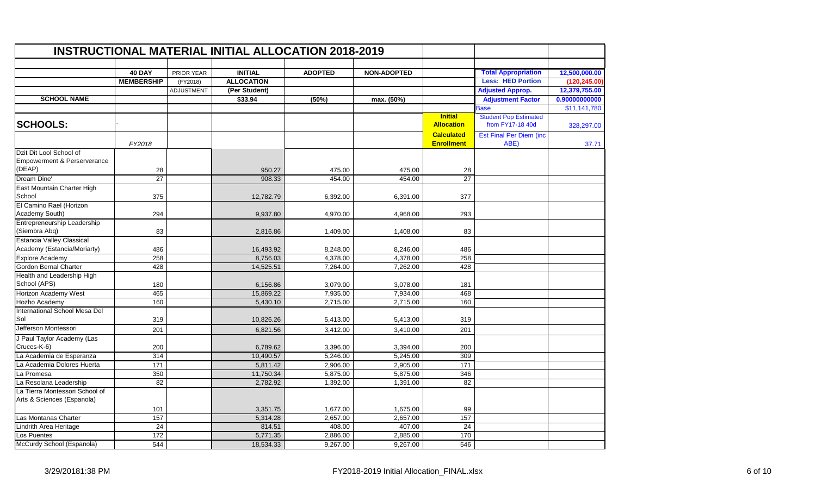|                                        |                   |            | <b>INSTRUCTIONAL MATERIAL INITIAL ALLOCATION 2018-2019</b> |                |                    |                   |                                         |               |
|----------------------------------------|-------------------|------------|------------------------------------------------------------|----------------|--------------------|-------------------|-----------------------------------------|---------------|
|                                        | <b>40 DAY</b>     | PRIOR YEAR | <b>INITIAL</b>                                             | <b>ADOPTED</b> | <b>NON-ADOPTED</b> |                   | <b>Total Appropriation</b>              | 12,500,000.00 |
|                                        | <b>MEMBERSHIP</b> | (FY2018)   | <b>ALLOCATION</b>                                          |                |                    |                   | <b>Less: HED Portion</b>                | (120, 245.00) |
|                                        |                   | ADJUSTMENT | (Per Student)                                              |                |                    |                   | <b>Adjusted Approp.</b>                 | 12,379,755.00 |
| <b>SCHOOL NAME</b>                     |                   |            | \$33.94                                                    | (50%)          |                    |                   |                                         | 0.90000000000 |
|                                        |                   |            |                                                            |                | max. (50%)         |                   | <b>Adjustment Factor</b><br><b>Base</b> | \$11,141,780  |
|                                        |                   |            |                                                            |                |                    | <b>Initial</b>    | <b>Student Pop Estimated</b>            |               |
| <b>SCHOOLS:</b>                        |                   |            |                                                            |                |                    | <b>Allocation</b> | from FY17-18 40d                        | 328,297.00    |
|                                        |                   |            |                                                            |                |                    | <b>Calculated</b> | <b>Est Final Per Diem (inc</b>          |               |
|                                        | FY2018            |            |                                                            |                |                    | <b>Enrollment</b> | ABE)                                    | 37.71         |
| Dzit Dit Lool School of                |                   |            |                                                            |                |                    |                   |                                         |               |
| <b>Empowerment &amp; Perserverance</b> |                   |            |                                                            |                |                    |                   |                                         |               |
| (DEAP)                                 | 28                |            | 950.27                                                     | 475.00         | 475.00             | 28                |                                         |               |
| Dream Dine'                            | $\overline{27}$   |            | 908.33                                                     | 454.00         | 454.00             | $\overline{27}$   |                                         |               |
| East Mountain Charter High             |                   |            |                                                            |                |                    |                   |                                         |               |
| School                                 | 375               |            | 12,782.79                                                  | 6,392.00       | 6,391.00           | 377               |                                         |               |
| El Camino Rael (Horizon                |                   |            |                                                            |                |                    |                   |                                         |               |
| Academy South)                         | 294               |            | 9,937.80                                                   | 4,970.00       | 4,968.00           | 293               |                                         |               |
| Entrepreneurship Leadership            |                   |            |                                                            |                |                    |                   |                                         |               |
| (Siembra Abq)                          | 83                |            | 2,816.86                                                   | 1,409.00       | 1,408.00           | 83                |                                         |               |
| Estancia Valley Classical              |                   |            |                                                            |                |                    |                   |                                         |               |
| Academy (Estancia/Moriarty)            | 486               |            | 16,493.92                                                  | 8,248.00       | 8,246.00           | 486               |                                         |               |
| <b>Explore Academy</b>                 | 258               |            | 8,756.03                                                   | 4,378.00       | 4,378.00           | 258               |                                         |               |
| Gordon Bernal Charter                  | 428               |            | 14,525.51                                                  | 7,264.00       | 7,262.00           | 428               |                                         |               |
| Health and Leadership High             |                   |            |                                                            |                |                    |                   |                                         |               |
| School (APS)                           | 180               |            | 6,156.86                                                   | 3,079.00       | 3,078.00           | 181               |                                         |               |
| Horizon Academy West                   | 465               |            | 15,869.22                                                  | 7,935.00       | 7,934.00           | 468               |                                         |               |
| Hozho Academy                          | 160               |            | 5,430.10                                                   | 2,715.00       | 2,715.00           | 160               |                                         |               |
| International School Mesa Del          |                   |            |                                                            |                |                    |                   |                                         |               |
| Sol                                    | 319               |            | 10,826.26                                                  | 5,413.00       | 5,413.00           | 319               |                                         |               |
| Jefferson Montessori                   | 201               |            | 6,821.56                                                   | 3,412.00       | 3,410.00           | 201               |                                         |               |
| J Paul Taylor Academy (Las             |                   |            |                                                            |                |                    |                   |                                         |               |
| Cruces-K-6)                            | 200               |            | 6,789.62                                                   | 3,396.00       | 3,394.00           | 200               |                                         |               |
| La Academia de Esperanza               | 314               |            | 10,490.57                                                  | 5,246.00       | 5,245.00           | 309               |                                         |               |
| La Academia Dolores Huerta             | 171               |            | 5,811.42                                                   | 2,906.00       | 2,905.00           | 171               |                                         |               |
| La Promesa                             | 350               |            | 11,750.34                                                  | 5,875.00       | 5,875.00           | 346               |                                         |               |
| La Resolana Leadership                 | 82                |            | 2,782.92                                                   | 1,392.00       | 1,391.00           | 82                |                                         |               |
| La Tierra Montessori School of         |                   |            |                                                            |                |                    |                   |                                         |               |
| Arts & Sciences (Espanola)             |                   |            |                                                            |                |                    |                   |                                         |               |
|                                        | 101               |            | 3,351.75                                                   | 1,677.00       | 1,675.00           | 99                |                                         |               |
| Las Montanas Charter                   | 157               |            | 5,314.28                                                   | 2,657.00       | 2,657.00           | 157               |                                         |               |
| Lindrith Area Heritage                 | 24                |            | 814.51                                                     | 408.00         | 407.00             | 24                |                                         |               |
| Los Puentes                            | 172               |            | 5,771.35                                                   | 2,886.00       | 2,885.00           | 170               |                                         |               |
|                                        | 544               |            | 18,534.33                                                  | 9,267.00       |                    | 546               |                                         |               |
| McCurdy School (Espanola)              |                   |            |                                                            |                | 9,267.00           |                   |                                         |               |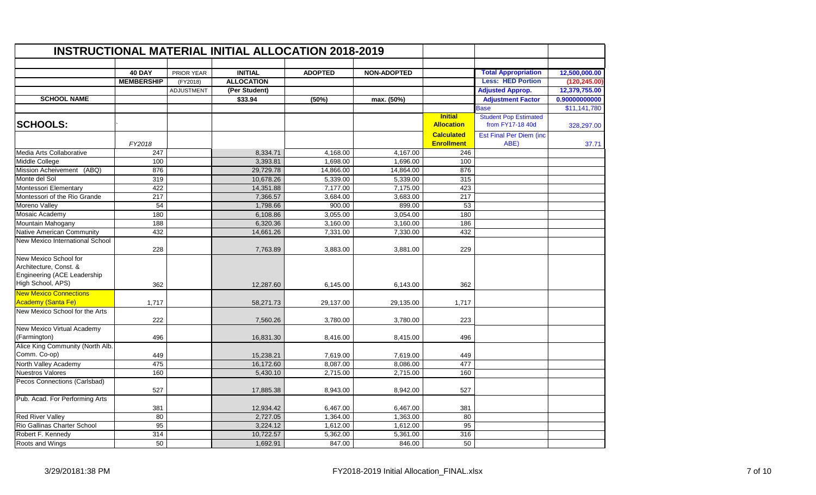|                                                                                                     |                   | <b>INSTRUCTIONAL MATERIAL INITIAL ALLOCATION 2018-2019</b> |                   |                |                    |                                        |                                                  |               |  |  |  |
|-----------------------------------------------------------------------------------------------------|-------------------|------------------------------------------------------------|-------------------|----------------|--------------------|----------------------------------------|--------------------------------------------------|---------------|--|--|--|
|                                                                                                     | <b>40 DAY</b>     | <b>PRIOR YEAR</b>                                          | <b>INITIAL</b>    | <b>ADOPTED</b> | <b>NON-ADOPTED</b> |                                        | <b>Total Appropriation</b>                       | 12,500,000.00 |  |  |  |
|                                                                                                     | <b>MEMBERSHIP</b> | (FY2018)                                                   | <b>ALLOCATION</b> |                |                    |                                        | <b>Less: HED Portion</b>                         | (120, 245.00) |  |  |  |
|                                                                                                     |                   | <b>ADJUSTMENT</b>                                          | (Per Student)     |                |                    |                                        | <b>Adjusted Approp.</b>                          | 12,379,755.00 |  |  |  |
| <b>SCHOOL NAME</b>                                                                                  |                   |                                                            | \$33.94           | (50%)          | max. (50%)         |                                        | <b>Adjustment Factor</b>                         | 0.90000000000 |  |  |  |
|                                                                                                     |                   |                                                            |                   |                |                    |                                        | <b>Base</b>                                      | \$11,141,780  |  |  |  |
| <b>SCHOOLS:</b>                                                                                     |                   |                                                            |                   |                |                    | <b>Initial</b><br><b>Allocation</b>    | <b>Student Pop Estimated</b><br>from FY17-18 40d | 328,297.00    |  |  |  |
|                                                                                                     | FY2018            |                                                            |                   |                |                    | <b>Calculated</b><br><b>Enrollment</b> | <b>Est Final Per Diem (inc.</b><br>ABE)          | 37.71         |  |  |  |
| Media Arts Collaborative                                                                            | 247               |                                                            | 8,334.71          | 4,168.00       | 4,167.00           | 246                                    |                                                  |               |  |  |  |
| Middle College                                                                                      | 100               |                                                            | 3,393.81          | 1,698.00       | 1,696.00           | 100                                    |                                                  |               |  |  |  |
| <b>Mission Acheivement</b><br>(ABQ)                                                                 | 876               |                                                            | 29,729.78         | 14,866.00      | 14,864.00          | 876                                    |                                                  |               |  |  |  |
| Monte del Sol                                                                                       | 319               |                                                            | 10,678.26         | 5,339.00       | 5,339.00           | 315                                    |                                                  |               |  |  |  |
| Montessori Elementary                                                                               | 422               |                                                            | 14,351.88         | 7,177.00       | 7,175.00           | 423                                    |                                                  |               |  |  |  |
| Montessori of the Rio Grande                                                                        | 217               |                                                            | 7,366.57          | 3,684.00       | 3,683.00           | 217                                    |                                                  |               |  |  |  |
| Moreno Valley                                                                                       | 54                |                                                            | 1,798.66          | 900.00         | 899.00             | 53                                     |                                                  |               |  |  |  |
| Mosaic Academy                                                                                      | 180               |                                                            | 6,108.86          | 3.055.00       | 3,054.00           | 180                                    |                                                  |               |  |  |  |
| Mountain Mahogany                                                                                   | 188               |                                                            | 6,320.36          | 3,160.00       | 3,160.00           | 186                                    |                                                  |               |  |  |  |
| Native American Community                                                                           | 432               |                                                            | 14.661.26         | 7.331.00       | 7.330.00           | 432                                    |                                                  |               |  |  |  |
| New Mexico International School                                                                     | 228               |                                                            | 7,763.89          | 3,883.00       | 3,881.00           | 229                                    |                                                  |               |  |  |  |
| New Mexico School for<br>Architecture, Const. &<br>Engineering (ACE Leadership<br>High School, APS) | 362               |                                                            | 12,287.60         | 6,145.00       | 6,143.00           | 362                                    |                                                  |               |  |  |  |
| <b>New Mexico Connections</b>                                                                       |                   |                                                            |                   |                |                    |                                        |                                                  |               |  |  |  |
| Academy (Santa Fe)                                                                                  | 1,717             |                                                            | 58,271.73         | 29,137.00      | 29,135.00          | 1,717                                  |                                                  |               |  |  |  |
| New Mexico School for the Arts                                                                      | 222               |                                                            | 7,560.26          | 3,780.00       | 3,780.00           | 223                                    |                                                  |               |  |  |  |
| New Mexico Virtual Academy<br>(Farmington)                                                          | 496               |                                                            | 16,831.30         | 8,416.00       | 8,415.00           | 496                                    |                                                  |               |  |  |  |
| Alice King Community (North Alb.<br>Comm. Co-op)                                                    | 449               |                                                            | 15,238.21         | 7,619.00       | 7,619.00           | 449                                    |                                                  |               |  |  |  |
| North Valley Academy                                                                                | 475               |                                                            | 16,172.60         | 8,087.00       | 8,086.00           | 477                                    |                                                  |               |  |  |  |
| <b>Nuestros Valores</b>                                                                             | 160               |                                                            | 5,430.10          | 2,715.00       | 2,715.00           | 160                                    |                                                  |               |  |  |  |
| Pecos Connections (Carlsbad)                                                                        | 527               |                                                            | 17,885.38         | 8,943.00       | 8,942.00           | 527                                    |                                                  |               |  |  |  |
| Pub. Acad. For Performing Arts                                                                      | 381               |                                                            | 12,934.42         | 6,467.00       | 6,467.00           | 381                                    |                                                  |               |  |  |  |
| <b>Red River Valley</b>                                                                             | 80                |                                                            | 2,727.05          | 1,364.00       | 1,363.00           | 80                                     |                                                  |               |  |  |  |
| Rio Gallinas Charter School                                                                         | 95                |                                                            | 3,224.12          | 1,612.00       | 1,612.00           | 95                                     |                                                  |               |  |  |  |
| Robert F. Kennedy                                                                                   | 314               |                                                            | 10,722.57         | 5,362.00       | 5,361.00           | 316                                    |                                                  |               |  |  |  |
| Roots and Wings                                                                                     | 50                |                                                            | 1,692.91          | 847.00         | 846.00             | 50                                     |                                                  |               |  |  |  |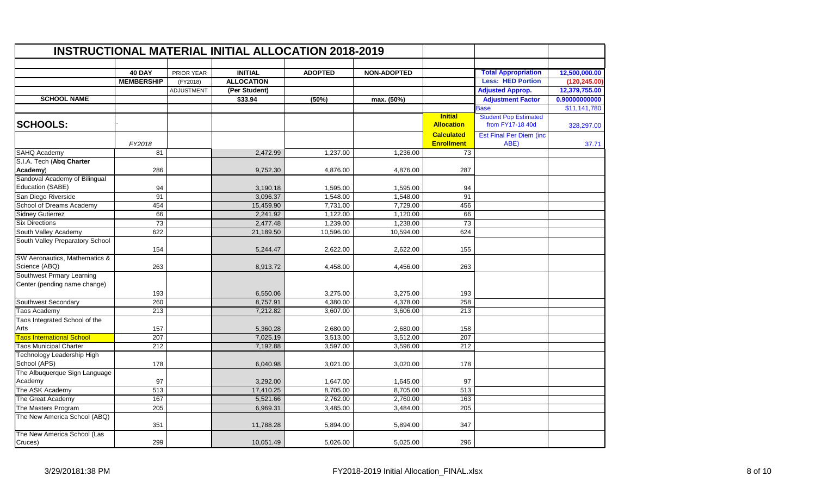|                                                           |                   |                   | <b>INSTRUCTIONAL MATERIAL INITIAL ALLOCATION 2018-2019</b> |                |                    |                                        |                                                  |               |
|-----------------------------------------------------------|-------------------|-------------------|------------------------------------------------------------|----------------|--------------------|----------------------------------------|--------------------------------------------------|---------------|
|                                                           | <b>40 DAY</b>     | PRIOR YEAR        | <b>INITIAL</b>                                             | <b>ADOPTED</b> | <b>NON-ADOPTED</b> |                                        | <b>Total Appropriation</b>                       | 12,500,000.00 |
|                                                           | <b>MEMBERSHIP</b> | (FY2018)          | <b>ALLOCATION</b>                                          |                |                    |                                        | <b>Less: HED Portion</b>                         | (120, 245.00) |
|                                                           |                   | <b>ADJUSTMENT</b> | (Per Student)                                              |                |                    |                                        | <b>Adjusted Approp.</b>                          | 12,379,755.00 |
| <b>SCHOOL NAME</b>                                        |                   |                   | \$33.94                                                    | (50%)          | max. (50%)         |                                        | <b>Adjustment Factor</b>                         | 0.90000000000 |
|                                                           |                   |                   |                                                            |                |                    |                                        | <b>Base</b>                                      | \$11,141,780  |
| <b>SCHOOLS:</b>                                           |                   |                   |                                                            |                |                    | <b>Initial</b><br><b>Allocation</b>    | <b>Student Pop Estimated</b><br>from FY17-18 40d | 328,297.00    |
|                                                           | FY2018            |                   |                                                            |                |                    | <b>Calculated</b><br><b>Enrollment</b> | <b>Est Final Per Diem (inc.</b><br>ABE)          | 37.71         |
| SAHQ Academy                                              | 81                |                   | 2,472.99                                                   | 1,237.00       | 1,236.00           | 73                                     |                                                  |               |
| S.I.A. Tech (Abq Charter<br>Academy)                      | 286               |                   | 9,752.30                                                   | 4,876.00       | 4,876.00           | 287                                    |                                                  |               |
| Sandoval Academy of Bilingual<br>Education (SABE)         | 94                |                   | 3,190.18                                                   | 1,595.00       | 1,595.00           | 94                                     |                                                  |               |
| San Diego Riverside                                       | 91                |                   | 3,096.37                                                   | 1,548.00       | 1,548.00           | 91                                     |                                                  |               |
| School of Dreams Academy                                  | 454               |                   | 15,459.90                                                  | 7,731.00       | 7,729.00           | 456                                    |                                                  |               |
| <b>Sidney Gutierrez</b>                                   | 66                |                   | 2,241.92                                                   | 1,122.00       | 1,120.00           | 66                                     |                                                  |               |
| <b>Six Directions</b>                                     | 73                |                   | 2,477.48                                                   | 1,239.00       | 1,238.00           | 73                                     |                                                  |               |
| South Valley Academy                                      | 622               |                   | 21,189.50                                                  | 10,596.00      | 10,594.00          | 624                                    |                                                  |               |
| South Valley Preparatory School                           | 154               |                   | 5,244.47                                                   | 2,622.00       | 2,622.00           | 155                                    |                                                  |               |
| SW Aeronautics, Mathematics &                             |                   |                   |                                                            |                |                    |                                        |                                                  |               |
| Science (ABQ)                                             | 263               |                   | 8,913.72                                                   | 4,458.00       | 4,456.00           | 263                                    |                                                  |               |
| Southwest Prmary Learning<br>Center (pending name change) |                   |                   |                                                            |                |                    |                                        |                                                  |               |
|                                                           | 193               |                   | 6,550.06                                                   | 3,275.00       | 3,275.00           | 193                                    |                                                  |               |
| Southwest Secondary                                       | 260               |                   | 8,757.91                                                   | 4,380.00       | 4,378.00           | 258                                    |                                                  |               |
| Taos Academy                                              | 213               |                   | 7,212.82                                                   | 3,607.00       | 3,606.00           | 213                                    |                                                  |               |
| Taos Integrated School of the<br>Arts                     | 157               |                   | 5,360.28                                                   | 2,680.00       | 2,680.00           | 158                                    |                                                  |               |
| <b>Taos International School</b>                          | 207               |                   | 7,025.19                                                   | 3,513.00       | 3,512.00           | 207                                    |                                                  |               |
| <b>Taos Municipal Charter</b>                             | 212               |                   | 7,192.88                                                   | 3,597.00       | 3,596.00           | 212                                    |                                                  |               |
| Technology Leadership High<br>School (APS)                | 178               |                   | 6,040.98                                                   | 3,021.00       | 3,020.00           | 178                                    |                                                  |               |
| The Albuquerque Sign Language<br>Academy                  | 97                |                   | 3,292.00                                                   | 1,647.00       | 1,645.00           | 97                                     |                                                  |               |
| The ASK Academy                                           | 513               |                   | 17,410.25                                                  | 8,705.00       | 8,705.00           | 513                                    |                                                  |               |
| The Great Academy                                         | 167               |                   | 5,521.66                                                   | 2,762.00       | 2,760.00           | 163                                    |                                                  |               |
| The Masters Program                                       | 205               |                   | 6,969.31                                                   | 3,485.00       | 3,484.00           | 205                                    |                                                  |               |
| The New America School (ABQ)                              | 351               |                   | 11,788.28                                                  | 5,894.00       | 5,894.00           | 347                                    |                                                  |               |
| The New America School (Las<br>Cruces)                    | 299               |                   | 10,051.49                                                  | 5,026.00       | 5,025.00           | 296                                    |                                                  |               |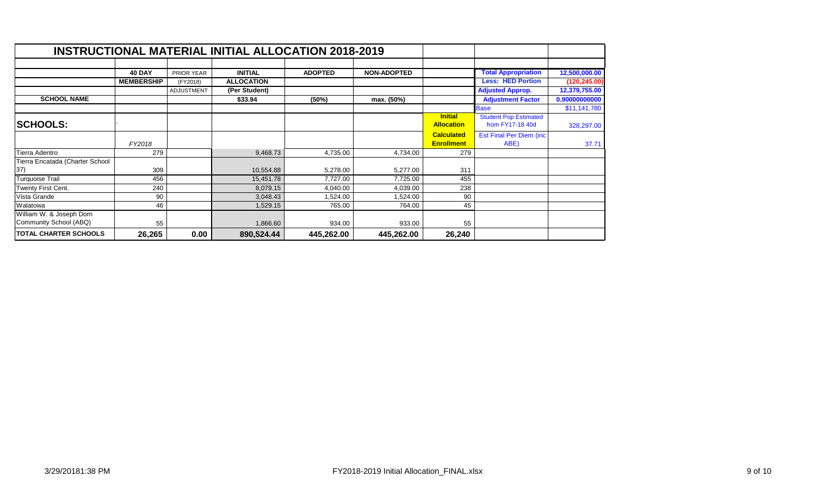|                                 |                   |                   | <b>INSTRUCTIONAL MATERIAL INITIAL ALLOCATION 2018-2019</b> |                |                    |                   |                                 |               |
|---------------------------------|-------------------|-------------------|------------------------------------------------------------|----------------|--------------------|-------------------|---------------------------------|---------------|
|                                 |                   |                   |                                                            |                |                    |                   |                                 |               |
|                                 | <b>40 DAY</b>     | PRIOR YEAR        | <b>INITIAL</b>                                             | <b>ADOPTED</b> | <b>NON-ADOPTED</b> |                   | <b>Total Appropriation</b>      | 12,500,000.00 |
|                                 | <b>MEMBERSHIP</b> | (FY2018)          | <b>ALLOCATION</b>                                          |                |                    |                   | <b>Less: HED Portion</b>        | (120, 245.00) |
|                                 |                   | <b>ADJUSTMENT</b> | (Per Student)                                              |                |                    |                   | <b>Adjusted Approp.</b>         | 12,379,755.00 |
| <b>SCHOOL NAME</b>              |                   |                   | \$33.94                                                    | (50%)          | max. (50%)         |                   | <b>Adjustment Factor</b>        | 0.90000000000 |
|                                 |                   |                   |                                                            |                |                    |                   | <b>Base</b>                     | \$11,141,780  |
|                                 |                   |                   |                                                            |                |                    | <b>Initial</b>    | <b>Student Pop Estimated</b>    |               |
| <b>SCHOOLS:</b>                 |                   |                   |                                                            |                |                    | <b>Allocation</b> | from FY17-18 40d                | 328,297.00    |
|                                 |                   |                   |                                                            |                |                    | <b>Calculated</b> | <b>Est Final Per Diem (inc.</b> |               |
|                                 | FY2018            |                   |                                                            |                |                    | <b>Enrollment</b> | ABE)                            | 37.71         |
| Tierra Adentro                  | 279               |                   | 9,468.73                                                   | 4,735.00       | 4,734.00           | 279               |                                 |               |
| Tierra Encatada (Charter School |                   |                   |                                                            |                |                    |                   |                                 |               |
| 37)                             | 309               |                   | 10,554.88                                                  | 5,278.00       | 5,277.00           | 311               |                                 |               |
| <b>Turquoise Trail</b>          | 456               |                   | 15,451.78                                                  | 7,727.00       | 7,725.00           | 455               |                                 |               |
| Twenty First Cent.              | 240               |                   | 8,079.15                                                   | 4,040.00       | 4,039.00           | 238               |                                 |               |
| Vista Grande                    | 90                |                   | 3,048.43                                                   | .524.00        | 1,524.00           | 90                |                                 |               |
| Walatowa                        | 46                |                   | 1,529.15                                                   | 765.00         | 764.00             | 45                |                                 |               |
| William W. & Joseph Dorn        |                   |                   |                                                            |                |                    |                   |                                 |               |
| Community School (ABQ)          | 55                |                   | 1,866.60                                                   | 934.00         | 933.00             | 55                |                                 |               |
| <b>TOTAL CHARTER SCHOOLS</b>    | 26,265            | 0.00              | 890,524.44                                                 | 445,262.00     | 445,262.00         | 26,240            |                                 |               |